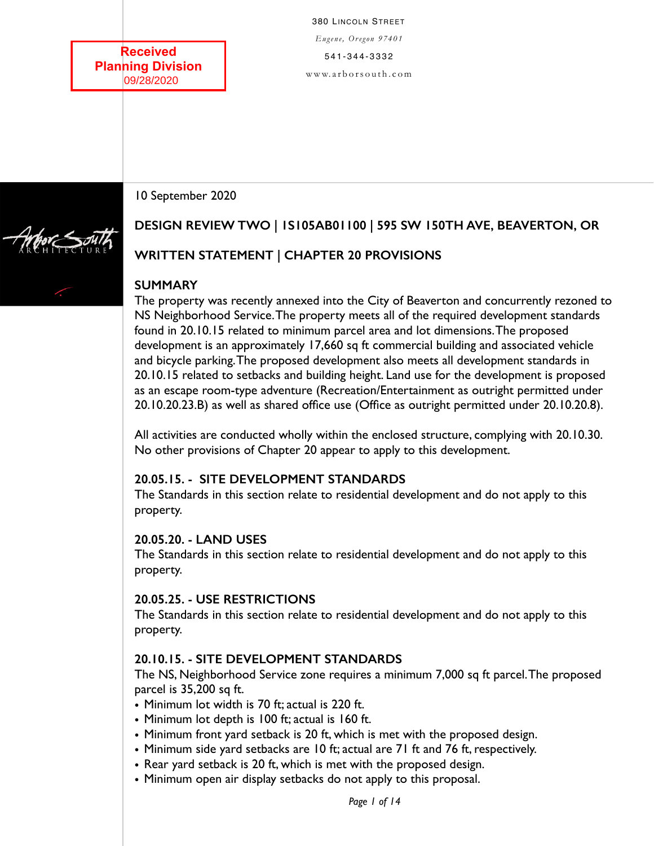**Received Planning Division** 09/28/2020

380 LINCOLN STREET *Eugene, Oregon 97401*  541-344-3332 [www. a r b o r s out h . c om](http://www.arborsouth.com)

10 September 2020

# **DESIGN REVIEW TWO | 1S105AB01100 | 595 SW 150TH AVE, BEAVERTON, OR**

# **WRITTEN STATEMENT | CHAPTER 20 PROVISIONS**

## **SUMMARY**

The property was recently annexed into the City of Beaverton and concurrently rezoned to NS Neighborhood Service. The property meets all of the required development standards found in 20.10.15 related to minimum parcel area and lot dimensions. The proposed development is an approximately 17,660 sq ft commercial building and associated vehicle and bicycle parking. The proposed development also meets all development standards in 20.10.15 related to setbacks and building height. Land use for the development is proposed as an escape room-type adventure (Recreation/Entertainment as outright permitted under 20.10.20.23.B) as well as shared office use (Office as outright permitted under 20.10.20.8).

All activities are conducted wholly within the enclosed structure, complying with 20.10.30. No other provisions of Chapter 20 appear to apply to this development.

#### **20.05.15. - SITE DEVELOPMENT STANDARDS**

The Standards in this section relate to residential development and do not apply to this property.

#### **20.05.20. - LAND USES**

The Standards in this section relate to residential development and do not apply to this property.

#### **20.05.25. - USE RESTRICTIONS**

The Standards in this section relate to residential development and do not apply to this property.

# **20.10.15. - SITE DEVELOPMENT STANDARDS**

The NS, Neighborhood Service zone requires a minimum 7,000 sq ft parcel. The proposed parcel is 35,200 sq ft.

- Minimum lot width is 70 ft; actual is 220 ft.
- Minimum lot depth is 100 ft; actual is 160 ft.
- Minimum front yard setback is 20 ft, which is met with the proposed design.
- Minimum side yard setbacks are 10 ft; actual are 71 ft and 76 ft, respectively.
- Rear yard setback is 20 ft, which is met with the proposed design.
- Minimum open air display setbacks do not apply to this proposal.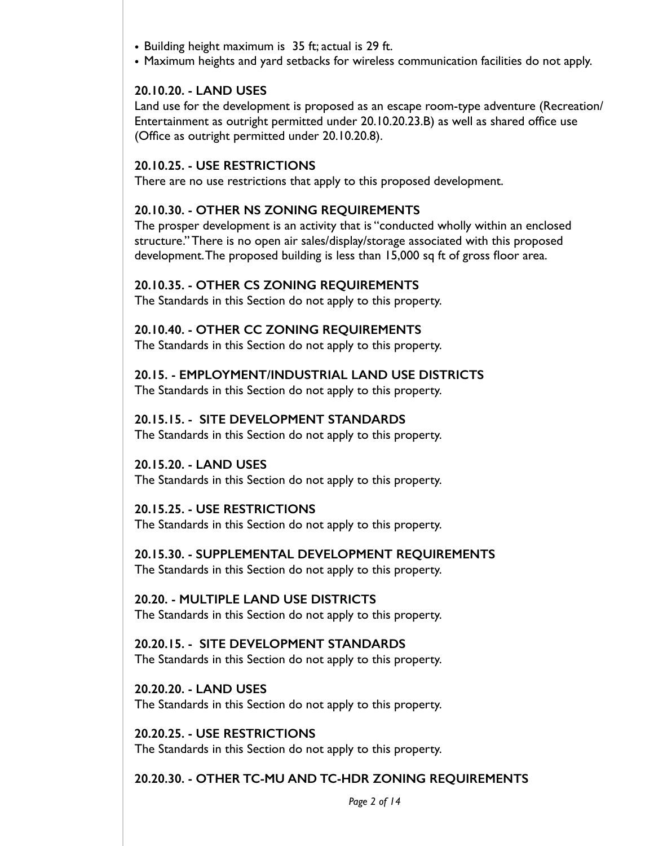- Building height maximum is 35 ft; actual is 29 ft.
- Maximum heights and yard setbacks for wireless communication facilities do not apply.

## **20.10.20. - LAND USES**

Land use for the development is proposed as an escape room-type adventure (Recreation/ Entertainment as outright permitted under 20.10.20.23.B) as well as shared office use (Office as outright permitted under 20.10.20.8).

#### **20.10.25. - USE RESTRICTIONS**

There are no use restrictions that apply to this proposed development.

#### **20.10.30. - OTHER NS ZONING REQUIREMENTS**

The prosper development is an activity that is "conducted wholly within an enclosed structure." There is no open air sales/display/storage associated with this proposed development. The proposed building is less than 15,000 sq ft of gross floor area.

#### **20.10.35. - OTHER CS ZONING REQUIREMENTS**

The Standards in this Section do not apply to this property.

## **20.10.40. - OTHER CC ZONING REQUIREMENTS**

The Standards in this Section do not apply to this property.

#### **20.15. - EMPLOYMENT/INDUSTRIAL LAND USE DISTRICTS**

The Standards in this Section do not apply to this property.

## **20.15.15. - SITE DEVELOPMENT STANDARDS**

The Standards in this Section do not apply to this property.

## **20.15.20. - LAND USES**  The Standards in this Section do not apply to this property.

#### **20.15.25. - USE RESTRICTIONS**

The Standards in this Section do not apply to this property.

#### **20.15.30. - SUPPLEMENTAL DEVELOPMENT REQUIREMENTS**

The Standards in this Section do not apply to this property.

#### **20.20. - MULTIPLE LAND USE DISTRICTS**

The Standards in this Section do not apply to this property.

#### **20.20.15. - SITE DEVELOPMENT STANDARDS**  The Standards in this Section do not apply to this property.

**20.20.20. - LAND USES**  The Standards in this Section do not apply to this property.

**20.20.25. - USE RESTRICTIONS**  The Standards in this Section do not apply to this property.

# **20.20.30. - OTHER TC-MU AND TC-HDR ZONING REQUIREMENTS**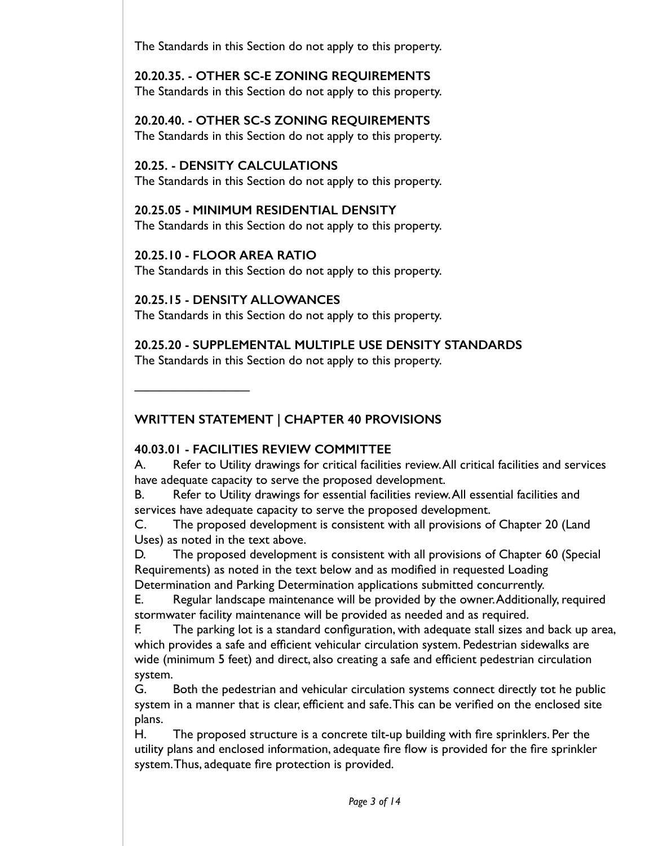The Standards in this Section do not apply to this property.

**20.20.35. - OTHER SC-E ZONING REQUIREMENTS** 

The Standards in this Section do not apply to this property.

**20.20.40. - OTHER SC-S ZONING REQUIREMENTS**  The Standards in this Section do not apply to this property.

# **20.25. - DENSITY CALCULATIONS**

The Standards in this Section do not apply to this property.

**20.25.05 - MINIMUM RESIDENTIAL DENSITY**  The Standards in this Section do not apply to this property.

## **20.25.10 - FLOOR AREA RATIO**

The Standards in this Section do not apply to this property.

# **20.25.15 - DENSITY ALLOWANCES**

The Standards in this Section do not apply to this property.

# **20.25.20 - SUPPLEMENTAL MULTIPLE USE DENSITY STANDARDS**

The Standards in this Section do not apply to this property.

————————————————————

# **WRITTEN STATEMENT | CHAPTER 40 PROVISIONS**

# **40.03.01 - FACILITIES REVIEW COMMITTEE**

A. Refer to Utility drawings for critical facilities review. All critical facilities and services have adequate capacity to serve the proposed development.

B. Refer to Utility drawings for essential facilities review. All essential facilities and services have adequate capacity to serve the proposed development.

C. The proposed development is consistent with all provisions of Chapter 20 (Land Uses) as noted in the text above.

D. The proposed development is consistent with all provisions of Chapter 60 (Special Requirements) as noted in the text below and as modified in requested Loading Determination and Parking Determination applications submitted concurrently.

E. Regular landscape maintenance will be provided by the owner. Additionally, required stormwater facility maintenance will be provided as needed and as required.

F. The parking lot is a standard configuration, with adequate stall sizes and back up area, which provides a safe and efficient vehicular circulation system. Pedestrian sidewalks are wide (minimum 5 feet) and direct, also creating a safe and efficient pedestrian circulation system.

G. Both the pedestrian and vehicular circulation systems connect directly tot he public system in a manner that is clear, efficient and safe. This can be verified on the enclosed site plans.

H. The proposed structure is a concrete tilt-up building with fire sprinklers. Per the utility plans and enclosed information, adequate fire flow is provided for the fire sprinkler system. Thus, adequate fire protection is provided.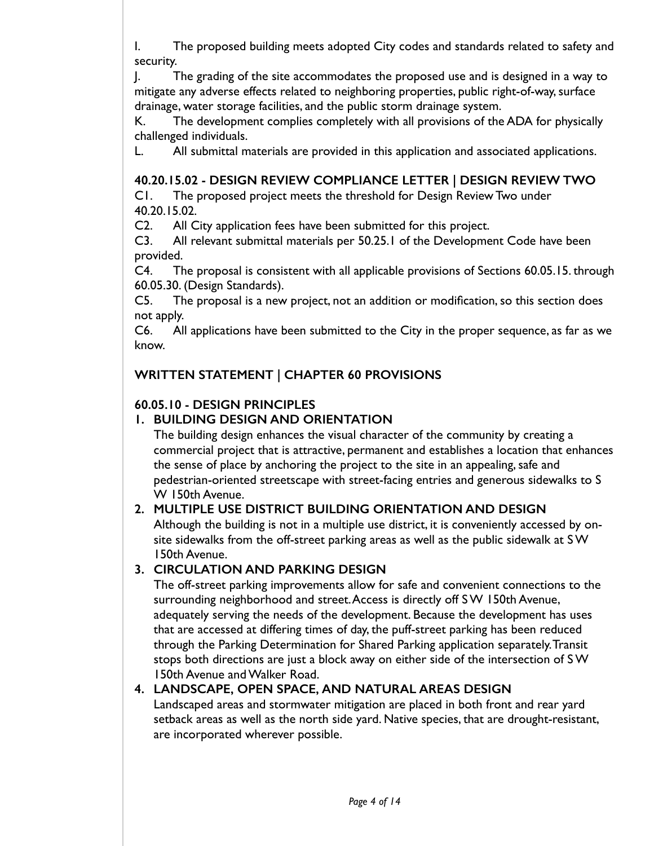I. The proposed building meets adopted City codes and standards related to safety and security.

J. The grading of the site accommodates the proposed use and is designed in a way to mitigate any adverse effects related to neighboring properties, public right-of-way, surface drainage, water storage facilities, and the public storm drainage system.

K. The development complies completely with all provisions of the ADA for physically challenged individuals.

L. All submittal materials are provided in this application and associated applications.

# **40.20.15.02 - DESIGN REVIEW COMPLIANCE LETTER | DESIGN REVIEW TWO**

C1. The proposed project meets the threshold for Design Review Two under 40.20.15.02.

C2. All City application fees have been submitted for this project.

C3. All relevant submittal materials per 50.25.1 of the Development Code have been provided.

C4. The proposal is consistent with all applicable provisions of Sections 60.05.15. through 60.05.30. (Design Standards).

C5. The proposal is a new project, not an addition or modification, so this section does not apply.

C6. All applications have been submitted to the City in the proper sequence, as far as we know.

# **WRITTEN STATEMENT | CHAPTER 60 PROVISIONS**

# **60.05.10 - DESIGN PRINCIPLES**

# **1. BUILDING DESIGN AND ORIENTATION**

The building design enhances the visual character of the community by creating a commercial project that is attractive, permanent and establishes a location that enhances the sense of place by anchoring the project to the site in an appealing, safe and pedestrian-oriented streetscape with street-facing entries and generous sidewalks to S W 150th Avenue.

# **2. MULTIPLE USE DISTRICT BUILDING ORIENTATION AND DESIGN**

Although the building is not in a multiple use district, it is conveniently accessed by onsite sidewalks from the off-street parking areas as well as the public sidewalk at S W 150th Avenue.

# **3. CIRCULATION AND PARKING DESIGN**

The off-street parking improvements allow for safe and convenient connections to the surrounding neighborhood and street. Access is directly off S W 150th Avenue, adequately serving the needs of the development. Because the development has uses that are accessed at differing times of day, the puff-street parking has been reduced through the Parking Determination for Shared Parking application separately. Transit stops both directions are just a block away on either side of the intersection of S W 150th Avenue and Walker Road.

# **4. LANDSCAPE, OPEN SPACE, AND NATURAL AREAS DESIGN**

Landscaped areas and stormwater mitigation are placed in both front and rear yard setback areas as well as the north side yard. Native species, that are drought-resistant, are incorporated wherever possible.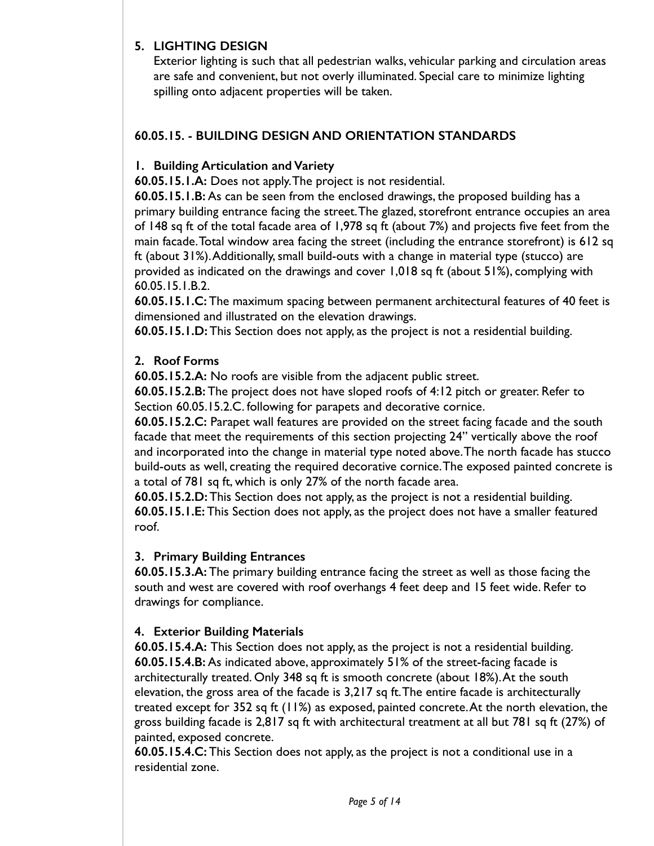## **5. LIGHTING DESIGN**

Exterior lighting is such that all pedestrian walks, vehicular parking and circulation areas are safe and convenient, but not overly illuminated. Special care to minimize lighting spilling onto adjacent properties will be taken.

# **60.05.15. - BUILDING DESIGN AND ORIENTATION STANDARDS**

## **1. Building Articulation and Variety**

**60.05.15.1.A:** Does not apply. The project is not residential.

**60.05.15.1.B:** As can be seen from the enclosed drawings, the proposed building has a primary building entrance facing the street. The glazed, storefront entrance occupies an area of 148 sq ft of the total facade area of 1,978 sq ft (about 7%) and projects five feet from the main facade. Total window area facing the street (including the entrance storefront) is 612 sq ft (about 31%). Additionally, small build-outs with a change in material type (stucco) are provided as indicated on the drawings and cover 1,018 sq ft (about 51%), complying with 60.05.15.1.B.2.

**60.05.15.1.C:** The maximum spacing between permanent architectural features of 40 feet is dimensioned and illustrated on the elevation drawings.

**60.05.15.1.D:** This Section does not apply, as the project is not a residential building.

## **2. Roof Forms**

**60.05.15.2.A:** No roofs are visible from the adjacent public street.

**60.05.15.2.B:** The project does not have sloped roofs of 4:12 pitch or greater. Refer to Section 60.05.15.2.C. following for parapets and decorative cornice.

**60.05.15.2.C:** Parapet wall features are provided on the street facing facade and the south facade that meet the requirements of this section projecting 24" vertically above the roof and incorporated into the change in material type noted above. The north facade has stucco build-outs as well, creating the required decorative cornice. The exposed painted concrete is a total of 781 sq ft, which is only 27% of the north facade area.

**60.05.15.2.D:** This Section does not apply, as the project is not a residential building. **60.05.15.1.E:** This Section does not apply, as the project does not have a smaller featured roof.

# **3. Primary Building Entrances**

**60.05.15.3.A:** The primary building entrance facing the street as well as those facing the south and west are covered with roof overhangs 4 feet deep and 15 feet wide. Refer to drawings for compliance.

# **4. Exterior Building Materials**

**60.05.15.4.A:** This Section does not apply, as the project is not a residential building. **60.05.15.4.B:** As indicated above, approximately 51% of the street-facing facade is architecturally treated. Only 348 sq ft is smooth concrete (about 18%). At the south elevation, the gross area of the facade is 3,217 sq ft. The entire facade is architecturally treated except for 352 sq ft (11%) as exposed, painted concrete. At the north elevation, the gross building facade is 2,817 sq ft with architectural treatment at all but 781 sq ft (27%) of painted, exposed concrete.

**60.05.15.4.C:** This Section does not apply, as the project is not a conditional use in a residential zone.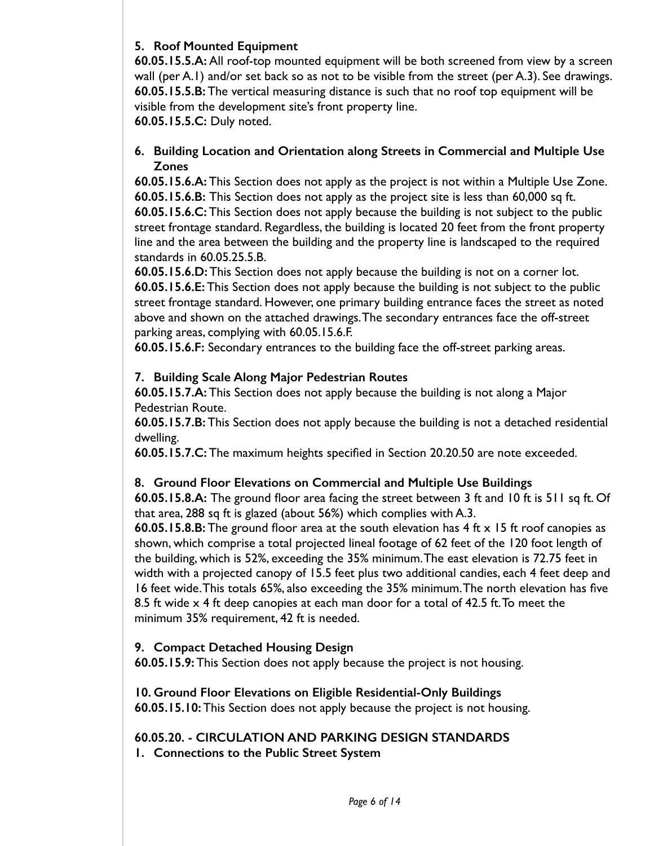## **5. Roof Mounted Equipment**

**60.05.15.5.A:** All roof-top mounted equipment will be both screened from view by a screen wall (per A.1) and/or set back so as not to be visible from the street (per A.3). See drawings. **60.05.15.5.B:** The vertical measuring distance is such that no roof top equipment will be visible from the development site's front property line.

**60.05.15.5.C:** Duly noted.

#### **6. Building Location and Orientation along Streets in Commercial and Multiple Use Zones**

**60.05.15.6.A:** This Section does not apply as the project is not within a Multiple Use Zone. **60.05.15.6.B:** This Section does not apply as the project site is less than 60,000 sq ft. **60.05.15.6.C:** This Section does not apply because the building is not subject to the public street frontage standard. Regardless, the building is located 20 feet from the front property line and the area between the building and the property line is landscaped to the required standards in 60.05.25.5.B.

**60.05.15.6.D:** This Section does not apply because the building is not on a corner lot. **60.05.15.6.E:** This Section does not apply because the building is not subject to the public street frontage standard. However, one primary building entrance faces the street as noted above and shown on the attached drawings. The secondary entrances face the off-street parking areas, complying with 60.05.15.6.F.

**60.05.15.6.F:** Secondary entrances to the building face the off-street parking areas.

## **7. Building Scale Along Major Pedestrian Routes**

**60.05.15.7.A:** This Section does not apply because the building is not along a Major Pedestrian Route.

**60.05.15.7.B:** This Section does not apply because the building is not a detached residential dwelling.

**60.05.15.7.C:** The maximum heights specified in Section 20.20.50 are note exceeded.

# **8. Ground Floor Elevations on Commercial and Multiple Use Buildings**

**60.05.15.8.A:** The ground floor area facing the street between 3 ft and 10 ft is 511 sq ft. Of that area, 288 sq ft is glazed (about 56%) which complies with A.3.

**60.05.15.8.B:** The ground floor area at the south elevation has 4 ft x 15 ft roof canopies as shown, which comprise a total projected lineal footage of 62 feet of the 120 foot length of the building, which is 52%, exceeding the 35% minimum. The east elevation is 72.75 feet in width with a projected canopy of 15.5 feet plus two additional candies, each 4 feet deep and 16 feet wide. This totals 65%, also exceeding the 35% minimum. The north elevation has five 8.5 ft wide x 4 ft deep canopies at each man door for a total of 42.5 ft. To meet the minimum 35% requirement, 42 ft is needed.

#### **9. Compact Detached Housing Design**

**60.05.15.9:** This Section does not apply because the project is not housing.

**10. Ground Floor Elevations on Eligible Residential-Only Buildings 60.05.15.10:** This Section does not apply because the project is not housing.

# **60.05.20. - CIRCULATION AND PARKING DESIGN STANDARDS**

**1. Connections to the Public Street System**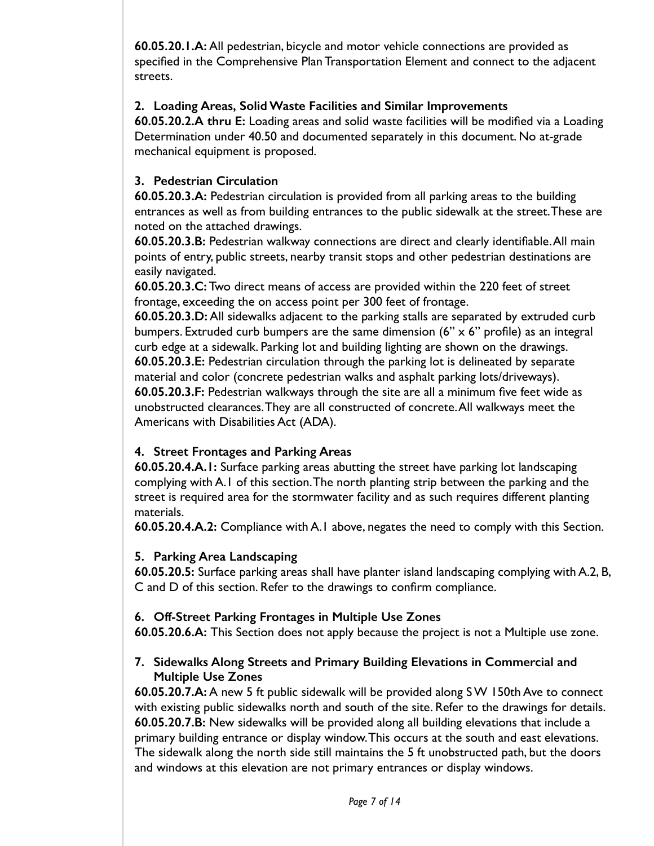**60.05.20.1.A:** All pedestrian, bicycle and motor vehicle connections are provided as specified in the Comprehensive Plan Transportation Element and connect to the adjacent streets.

## **2. Loading Areas, Solid Waste Facilities and Similar Improvements**

**60.05.20.2.A thru E:** Loading areas and solid waste facilities will be modified via a Loading Determination under 40.50 and documented separately in this document. No at-grade mechanical equipment is proposed.

# **3. Pedestrian Circulation**

**60.05.20.3.A:** Pedestrian circulation is provided from all parking areas to the building entrances as well as from building entrances to the public sidewalk at the street. These are noted on the attached drawings.

**60.05.20.3.B:** Pedestrian walkway connections are direct and clearly identifiable. All main points of entry, public streets, nearby transit stops and other pedestrian destinations are easily navigated.

**60.05.20.3.C:** Two direct means of access are provided within the 220 feet of street frontage, exceeding the on access point per 300 feet of frontage.

**60.05.20.3.D:** All sidewalks adjacent to the parking stalls are separated by extruded curb bumpers. Extruded curb bumpers are the same dimension (6" x 6" profile) as an integral curb edge at a sidewalk. Parking lot and building lighting are shown on the drawings. **60.05.20.3.E:** Pedestrian circulation through the parking lot is delineated by separate material and color (concrete pedestrian walks and asphalt parking lots/driveways). **60.05.20.3.F:** Pedestrian walkways through the site are all a minimum five feet wide as unobstructed clearances. They are all constructed of concrete. All walkways meet the Americans with Disabilities Act (ADA).

# **4. Street Frontages and Parking Areas**

**60.05.20.4.A.1:** Surface parking areas abutting the street have parking lot landscaping complying with A.1 of this section. The north planting strip between the parking and the street is required area for the stormwater facility and as such requires different planting materials.

**60.05.20.4.A.2:** Compliance with A.1 above, negates the need to comply with this Section.

# **5. Parking Area Landscaping**

**60.05.20.5:** Surface parking areas shall have planter island landscaping complying with A.2, B, C and D of this section. Refer to the drawings to confirm compliance.

# **6. Off-Street Parking Frontages in Multiple Use Zones**

**60.05.20.6.A:** This Section does not apply because the project is not a Multiple use zone.

## **7. Sidewalks Along Streets and Primary Building Elevations in Commercial and Multiple Use Zones**

**60.05.20.7.A:** A new 5 ft public sidewalk will be provided along S W 150th Ave to connect with existing public sidewalks north and south of the site. Refer to the drawings for details. **60.05.20.7.B:** New sidewalks will be provided along all building elevations that include a primary building entrance or display window. This occurs at the south and east elevations. The sidewalk along the north side still maintains the 5 ft unobstructed path, but the doors and windows at this elevation are not primary entrances or display windows.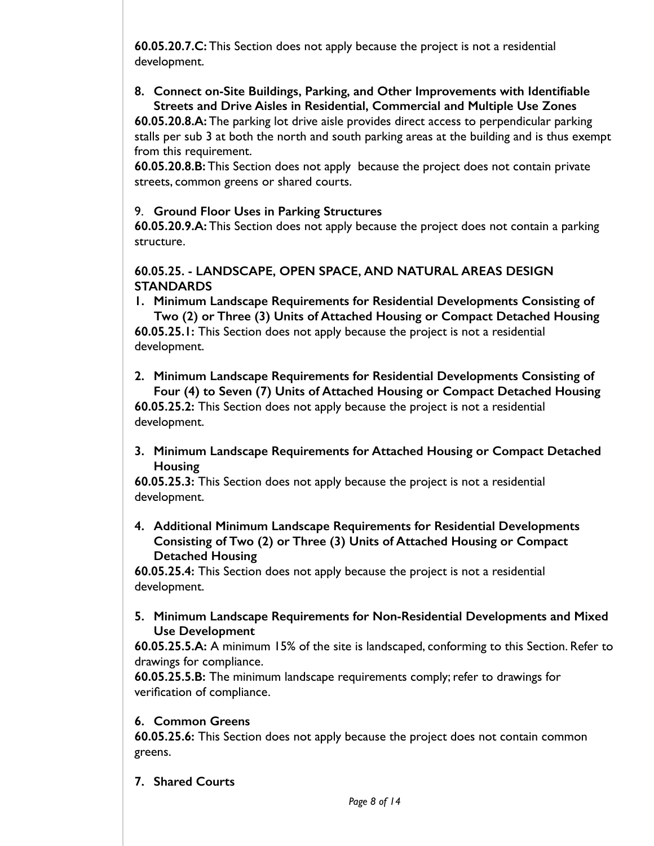**60.05.20.7.C:** This Section does not apply because the project is not a residential development.

#### **8. Connect on-Site Buildings, Parking, and Other Improvements with Identifiable Streets and Drive Aisles in Residential, Commercial and Multiple Use Zones**

**60.05.20.8.A:** The parking lot drive aisle provides direct access to perpendicular parking stalls per sub 3 at both the north and south parking areas at the building and is thus exempt from this requirement.

**60.05.20.8.B:** This Section does not apply because the project does not contain private streets, common greens or shared courts.

## 9. **Ground Floor Uses in Parking Structures**

**60.05.20.9.A:** This Section does not apply because the project does not contain a parking structure.

# **60.05.25. - LANDSCAPE, OPEN SPACE, AND NATURAL AREAS DESIGN STANDARDS**

**1. Minimum Landscape Requirements for Residential Developments Consisting of Two (2) or Three (3) Units of Attached Housing or Compact Detached Housing 60.05.25.1:** This Section does not apply because the project is not a residential

development.

- **2. Minimum Landscape Requirements for Residential Developments Consisting of Four (4) to Seven (7) Units of Attached Housing or Compact Detached Housing 60.05.25.2:** This Section does not apply because the project is not a residential development.
- **3. Minimum Landscape Requirements for Attached Housing or Compact Detached Housing**

**60.05.25.3:** This Section does not apply because the project is not a residential development.

**4. Additional Minimum Landscape Requirements for Residential Developments Consisting of Two (2) or Three (3) Units of Attached Housing or Compact Detached Housing** 

**60.05.25.4:** This Section does not apply because the project is not a residential development.

#### **5. Minimum Landscape Requirements for Non-Residential Developments and Mixed Use Development**

**60.05.25.5.A:** A minimum 15% of the site is landscaped, conforming to this Section. Refer to drawings for compliance.

**60.05.25.5.B:** The minimum landscape requirements comply; refer to drawings for verification of compliance.

# **6. Common Greens**

**60.05.25.6:** This Section does not apply because the project does not contain common greens.

**7. Shared Courts**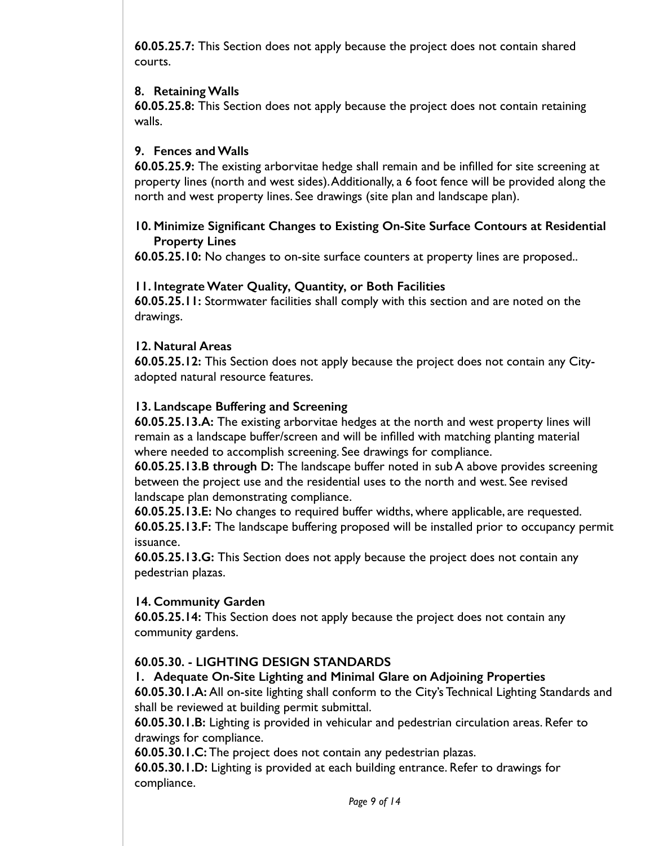**60.05.25.7:** This Section does not apply because the project does not contain shared courts.

## **8. Retaining Walls**

**60.05.25.8:** This Section does not apply because the project does not contain retaining walls.

## **9. Fences and Walls**

**60.05.25.9:** The existing arborvitae hedge shall remain and be infilled for site screening at property lines (north and west sides). Additionally, a 6 foot fence will be provided along the north and west property lines. See drawings (site plan and landscape plan).

## **10. Minimize Significant Changes to Existing On-Site Surface Contours at Residential Property Lines**

**60.05.25.10:** No changes to on-site surface counters at property lines are proposed..

#### **11. Integrate Water Quality, Quantity, or Both Facilities**

**60.05.25.11:** Stormwater facilities shall comply with this section and are noted on the drawings.

#### **12. Natural Areas**

**60.05.25.12:** This Section does not apply because the project does not contain any Cityadopted natural resource features.

## **13. Landscape Buffering and Screening**

**60.05.25.13.A:** The existing arborvitae hedges at the north and west property lines will remain as a landscape buffer/screen and will be infilled with matching planting material where needed to accomplish screening. See drawings for compliance.

**60.05.25.13.B through D:** The landscape buffer noted in sub A above provides screening between the project use and the residential uses to the north and west. See revised landscape plan demonstrating compliance.

**60.05.25.13.E:** No changes to required buffer widths, where applicable, are requested.

**60.05.25.13.F:** The landscape buffering proposed will be installed prior to occupancy permit issuance.

**60.05.25.13.G:** This Section does not apply because the project does not contain any pedestrian plazas.

# **14. Community Garden**

**60.05.25.14:** This Section does not apply because the project does not contain any community gardens.

# **60.05.30. - LIGHTING DESIGN STANDARDS**

#### **1. Adequate On-Site Lighting and Minimal Glare on Adjoining Properties**

**60.05.30.1.A:** All on-site lighting shall conform to the City's Technical Lighting Standards and shall be reviewed at building permit submittal.

**60.05.30.1.B:** Lighting is provided in vehicular and pedestrian circulation areas. Refer to drawings for compliance.

**60.05.30.1.C:** The project does not contain any pedestrian plazas.

**60.05.30.1.D:** Lighting is provided at each building entrance. Refer to drawings for compliance.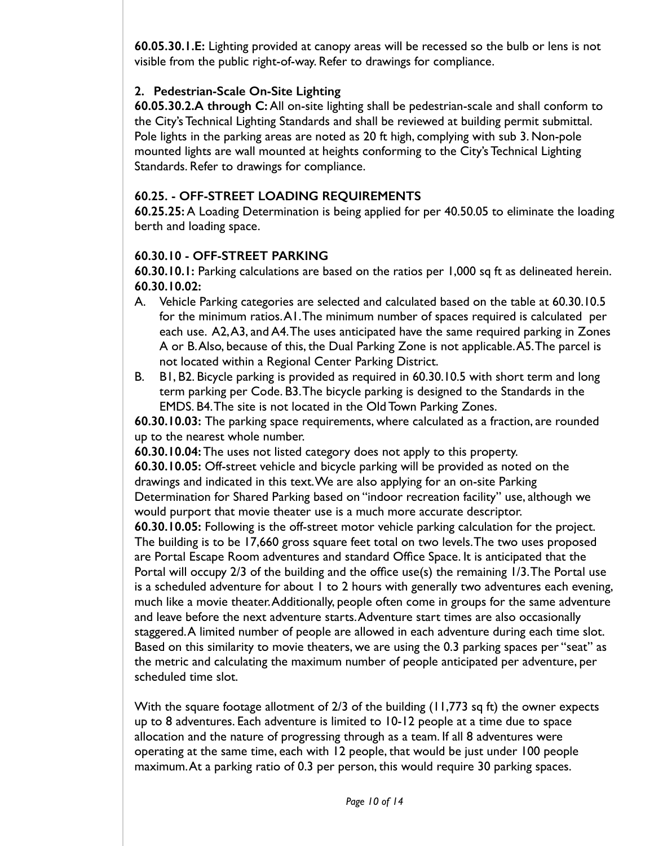**60.05.30.1.E:** Lighting provided at canopy areas will be recessed so the bulb or lens is not visible from the public right-of-way. Refer to drawings for compliance.

## **2. Pedestrian-Scale On-Site Lighting**

**60.05.30.2.A through C:** All on-site lighting shall be pedestrian-scale and shall conform to the City's Technical Lighting Standards and shall be reviewed at building permit submittal. Pole lights in the parking areas are noted as 20 ft high, complying with sub 3. Non-pole mounted lights are wall mounted at heights conforming to the City's Technical Lighting Standards. Refer to drawings for compliance.

## **60.25. - OFF-STREET LOADING REQUIREMENTS**

**60.25.25:** A Loading Determination is being applied for per 40.50.05 to eliminate the loading berth and loading space.

## **60.30.10 - OFF-STREET PARKING**

**60.30.10.1:** Parking calculations are based on the ratios per 1,000 sq ft as delineated herein. **60.30.10.02:**

- A. Vehicle Parking categories are selected and calculated based on the table at 60.30.10.5 for the minimum ratios. A1. The minimum number of spaces required is calculated per each use. A2, A3, and A4. The uses anticipated have the same required parking in Zones A or B. Also, because of this, the Dual Parking Zone is not applicable. A5. The parcel is not located within a Regional Center Parking District.
- B. B1, B2. Bicycle parking is provided as required in 60.30.10.5 with short term and long term parking per Code. B3. The bicycle parking is designed to the Standards in the EMDS. B4. The site is not located in the Old Town Parking Zones.

**60.30.10.03:** The parking space requirements, where calculated as a fraction, are rounded up to the nearest whole number.

**60.30.10.04:** The uses not listed category does not apply to this property.

**60.30.10.05:** Off-street vehicle and bicycle parking will be provided as noted on the drawings and indicated in this text. We are also applying for an on-site Parking Determination for Shared Parking based on "indoor recreation facility" use, although we would purport that movie theater use is a much more accurate descriptor.

**60.30.10.05:** Following is the off-street motor vehicle parking calculation for the project. The building is to be 17,660 gross square feet total on two levels. The two uses proposed are Portal Escape Room adventures and standard Office Space. It is anticipated that the Portal will occupy 2/3 of the building and the office use(s) the remaining 1/3. The Portal use is a scheduled adventure for about 1 to 2 hours with generally two adventures each evening, much like a movie theater. Additionally, people often come in groups for the same adventure and leave before the next adventure starts. Adventure start times are also occasionally staggered. A limited number of people are allowed in each adventure during each time slot. Based on this similarity to movie theaters, we are using the 0.3 parking spaces per "seat" as the metric and calculating the maximum number of people anticipated per adventure, per scheduled time slot.

With the square footage allotment of 2/3 of the building (11,773 sq ft) the owner expects up to 8 adventures. Each adventure is limited to 10-12 people at a time due to space allocation and the nature of progressing through as a team. If all 8 adventures were operating at the same time, each with 12 people, that would be just under 100 people maximum. At a parking ratio of 0.3 per person, this would require 30 parking spaces.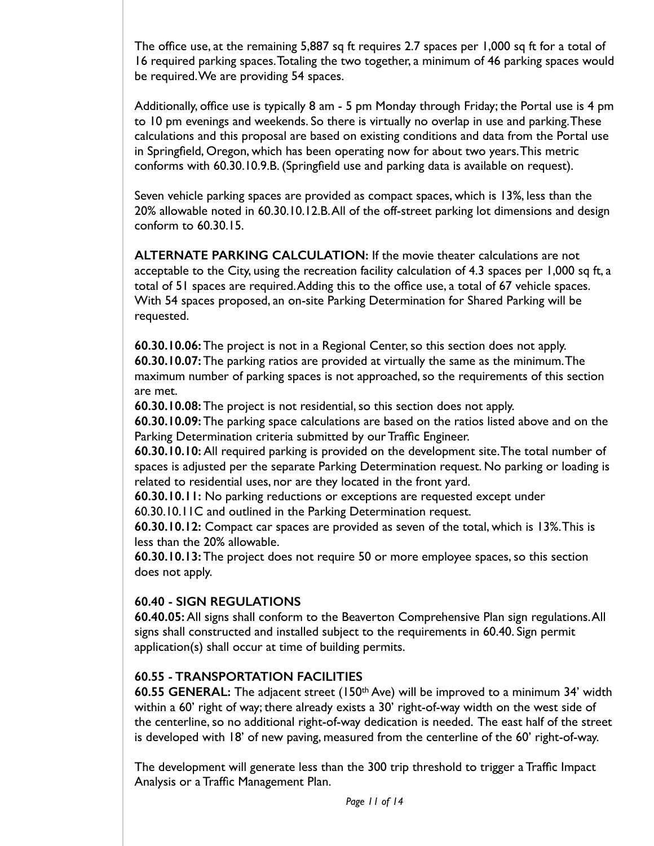The office use, at the remaining 5,887 sq ft requires 2.7 spaces per 1,000 sq ft for a total of 16 required parking spaces. Totaling the two together, a minimum of 46 parking spaces would be required. We are providing 54 spaces.

Additionally, office use is typically 8 am - 5 pm Monday through Friday; the Portal use is 4 pm to 10 pm evenings and weekends. So there is virtually no overlap in use and parking. These calculations and this proposal are based on existing conditions and data from the Portal use in Springfield, Oregon, which has been operating now for about two years. This metric conforms with 60.30.10.9.B. (Springfield use and parking data is available on request).

Seven vehicle parking spaces are provided as compact spaces, which is 13%, less than the 20% allowable noted in 60.30.10.12.B. All of the off-street parking lot dimensions and design conform to 60.30.15.

**ALTERNATE PARKING CALCULATION:** If the movie theater calculations are not acceptable to the City, using the recreation facility calculation of 4.3 spaces per 1,000 sq ft, a total of 51 spaces are required. Adding this to the office use, a total of 67 vehicle spaces. With 54 spaces proposed, an on-site Parking Determination for Shared Parking will be requested.

**60.30.10.06:** The project is not in a Regional Center, so this section does not apply. **60.30.10.07:** The parking ratios are provided at virtually the same as the minimum. The maximum number of parking spaces is not approached, so the requirements of this section are met.

**60.30.10.08:** The project is not residential, so this section does not apply.

**60.30.10.09:** The parking space calculations are based on the ratios listed above and on the Parking Determination criteria submitted by our Traffic Engineer.

**60.30.10.10:** All required parking is provided on the development site. The total number of spaces is adjusted per the separate Parking Determination request. No parking or loading is related to residential uses, nor are they located in the front yard.

**60.30.10.11:** No parking reductions or exceptions are requested except under

60.30.10.11C and outlined in the Parking Determination request.

**60.30.10.12:** Compact car spaces are provided as seven of the total, which is 13%. This is less than the 20% allowable.

**60.30.10.13:** The project does not require 50 or more employee spaces, so this section does not apply.

#### **60.40 - SIGN REGULATIONS**

**60.40.05:** All signs shall conform to the Beaverton Comprehensive Plan sign regulations. All signs shall constructed and installed subject to the requirements in 60.40. Sign permit application(s) shall occur at time of building permits.

#### **60.55 - TRANSPORTATION FACILITIES**

**60.55 GENERAL:** The adjacent street (150th Ave) will be improved to a minimum 34' width within a 60' right of way; there already exists a 30' right-of-way width on the west side of the centerline, so no additional right-of-way dedication is needed. The east half of the street is developed with 18' of new paving, measured from the centerline of the 60' right-of-way.

The development will generate less than the 300 trip threshold to trigger a Traffic Impact Analysis or a Traffic Management Plan.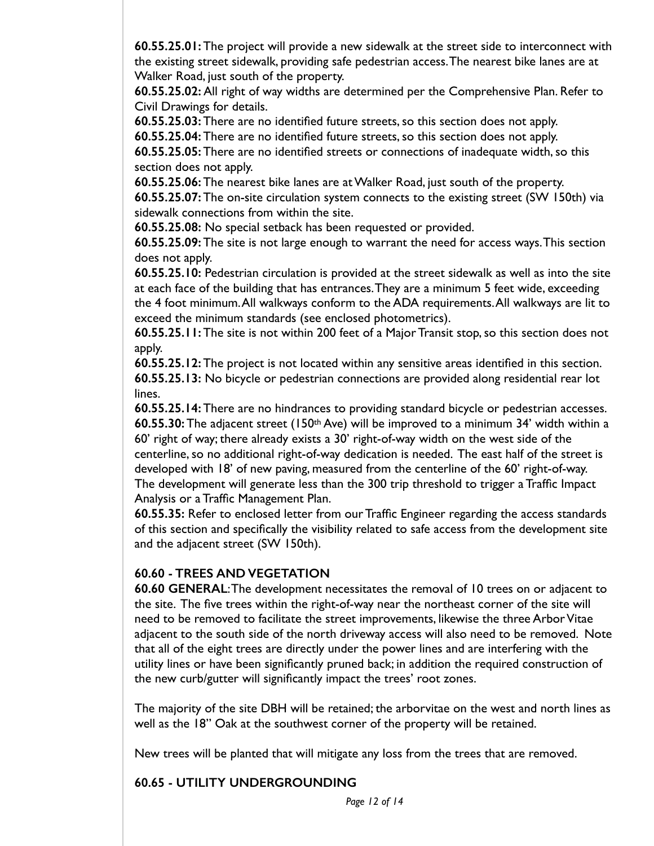**60.55.25.01:** The project will provide a new sidewalk at the street side to interconnect with the existing street sidewalk, providing safe pedestrian access. The nearest bike lanes are at Walker Road, just south of the property.

**60.55.25.02:** All right of way widths are determined per the Comprehensive Plan. Refer to Civil Drawings for details.

**60.55.25.03:** There are no identified future streets, so this section does not apply.

**60.55.25.04:** There are no identified future streets, so this section does not apply.

**60.55.25.05:** There are no identified streets or connections of inadequate width, so this section does not apply.

**60.55.25.06:** The nearest bike lanes are at Walker Road, just south of the property. **60.55.25.07:** The on-site circulation system connects to the existing street (SW 150th) via sidewalk connections from within the site.

**60.55.25.08:** No special setback has been requested or provided.

**60.55.25.09:** The site is not large enough to warrant the need for access ways. This section does not apply.

**60.55.25.10:** Pedestrian circulation is provided at the street sidewalk as well as into the site at each face of the building that has entrances. They are a minimum 5 feet wide, exceeding the 4 foot minimum. All walkways conform to the ADA requirements. All walkways are lit to exceed the minimum standards (see enclosed photometrics).

**60.55.25.11:** The site is not within 200 feet of a Major Transit stop, so this section does not apply.

**60.55.25.12:** The project is not located within any sensitive areas identified in this section. **60.55.25.13:** No bicycle or pedestrian connections are provided along residential rear lot lines.

**60.55.25.14:** There are no hindrances to providing standard bicycle or pedestrian accesses. **60.55.30:** The adjacent street (150th Ave) will be improved to a minimum 34' width within a 60' right of way; there already exists a 30' right-of-way width on the west side of the centerline, so no additional right-of-way dedication is needed. The east half of the street is developed with 18' of new paving, measured from the centerline of the 60' right-of-way. The development will generate less than the 300 trip threshold to trigger a Traffic Impact Analysis or a Traffic Management Plan.

**60.55.35:** Refer to enclosed letter from our Traffic Engineer regarding the access standards of this section and specifically the visibility related to safe access from the development site and the adjacent street (SW 150th).

#### **60.60 - TREES AND VEGETATION**

**60.60 GENERAL**: The development necessitates the removal of 10 trees on or adjacent to the site. The five trees within the right-of-way near the northeast corner of the site will need to be removed to facilitate the street improvements, likewise the three Arbor Vitae adjacent to the south side of the north driveway access will also need to be removed. Note that all of the eight trees are directly under the power lines and are interfering with the utility lines or have been significantly pruned back; in addition the required construction of the new curb/gutter will significantly impact the trees' root zones.

The majority of the site DBH will be retained; the arborvitae on the west and north lines as well as the 18" Oak at the southwest corner of the property will be retained.

New trees will be planted that will mitigate any loss from the trees that are removed.

#### **60.65 - UTILITY UNDERGROUNDING**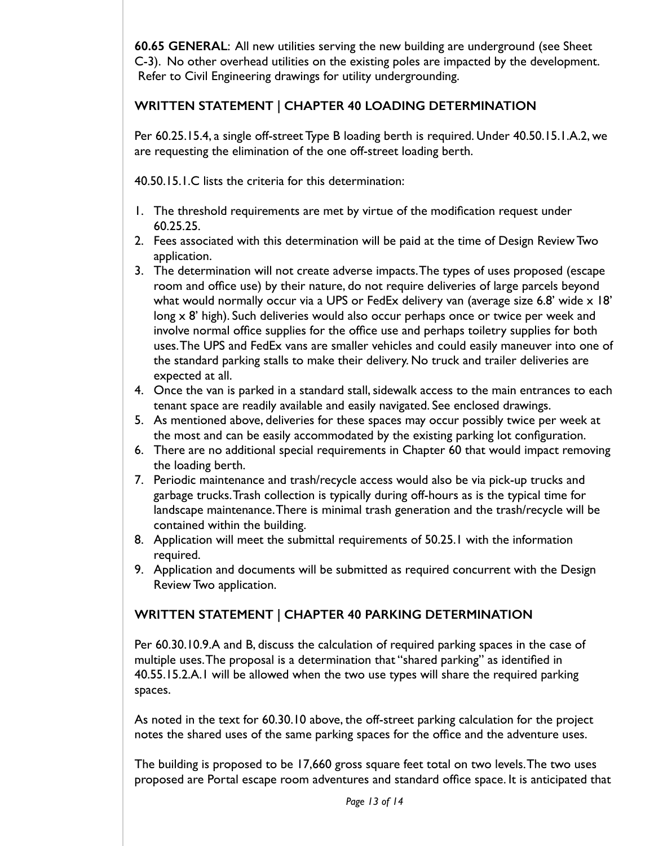**60.65 GENERAL**: All new utilities serving the new building are underground (see Sheet C-3). No other overhead utilities on the existing poles are impacted by the development. Refer to Civil Engineering drawings for utility undergrounding.

## **WRITTEN STATEMENT | CHAPTER 40 LOADING DETERMINATION**

Per 60.25.15.4, a single off-street Type B loading berth is required. Under 40.50.15.1.A.2, we are requesting the elimination of the one off-street loading berth.

40.50.15.1.C lists the criteria for this determination:

- 1. The threshold requirements are met by virtue of the modification request under 60.25.25.
- 2. Fees associated with this determination will be paid at the time of Design Review Two application.
- 3. The determination will not create adverse impacts. The types of uses proposed (escape room and office use) by their nature, do not require deliveries of large parcels beyond what would normally occur via a UPS or FedEx delivery van (average size 6.8' wide x 18' long x 8' high). Such deliveries would also occur perhaps once or twice per week and involve normal office supplies for the office use and perhaps toiletry supplies for both uses. The UPS and FedEx vans are smaller vehicles and could easily maneuver into one of the standard parking stalls to make their delivery. No truck and trailer deliveries are expected at all.
- 4. Once the van is parked in a standard stall, sidewalk access to the main entrances to each tenant space are readily available and easily navigated. See enclosed drawings.
- 5. As mentioned above, deliveries for these spaces may occur possibly twice per week at the most and can be easily accommodated by the existing parking lot configuration.
- 6. There are no additional special requirements in Chapter 60 that would impact removing the loading berth.
- 7. Periodic maintenance and trash/recycle access would also be via pick-up trucks and garbage trucks. Trash collection is typically during off-hours as is the typical time for landscape maintenance. There is minimal trash generation and the trash/recycle will be contained within the building.
- 8. Application will meet the submittal requirements of 50.25.1 with the information required.
- 9. Application and documents will be submitted as required concurrent with the Design Review Two application.

# **WRITTEN STATEMENT | CHAPTER 40 PARKING DETERMINATION**

Per 60.30.10.9.A and B, discuss the calculation of required parking spaces in the case of multiple uses. The proposal is a determination that "shared parking" as identified in 40.55.15.2.A.1 will be allowed when the two use types will share the required parking spaces.

As noted in the text for 60.30.10 above, the off-street parking calculation for the project notes the shared uses of the same parking spaces for the office and the adventure uses.

The building is proposed to be 17,660 gross square feet total on two levels. The two uses proposed are Portal escape room adventures and standard office space. It is anticipated that